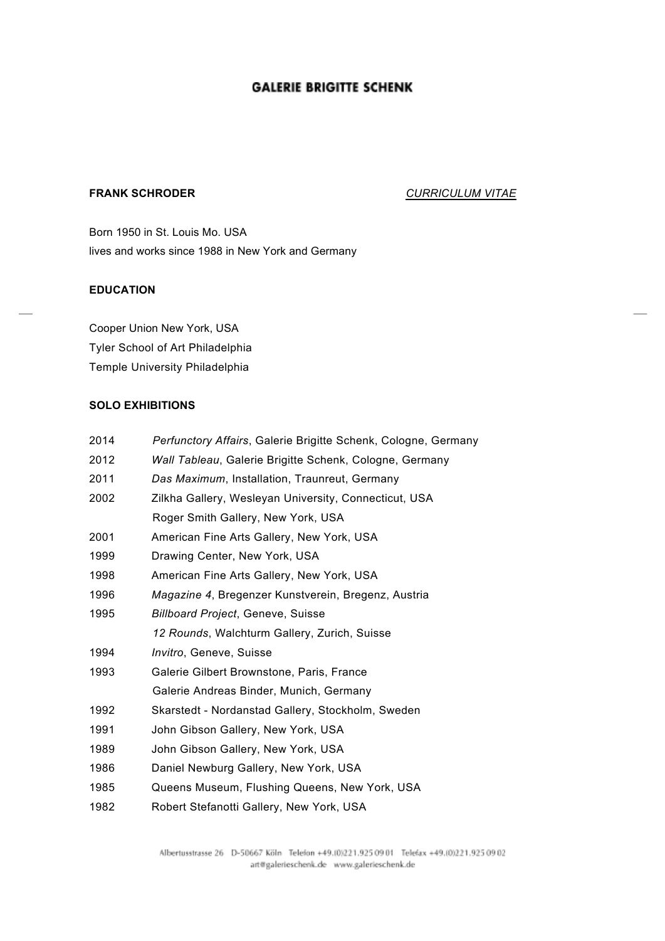# **GALERIE BRIGITTE SCHENK**

## **FRANK SCHRODER** *CURRICULUM VITAE*

Born 1950 in St. Louis Mo. USA lives and works since 1988 in New York and Germany

### **EDUCATION**

Cooper Union New York, USA Tyler School of Art Philadelphia Temple University Philadelphia

## **SOLO EXHIBITIONS**

| 2014 | Perfunctory Affairs, Galerie Brigitte Schenk, Cologne, Germany |
|------|----------------------------------------------------------------|
| 2012 | Wall Tableau, Galerie Brigitte Schenk, Cologne, Germany        |
| 2011 | Das Maximum, Installation, Traunreut, Germany                  |
| 2002 | Zilkha Gallery, Wesleyan University, Connecticut, USA          |
|      | Roger Smith Gallery, New York, USA                             |
| 2001 | American Fine Arts Gallery, New York, USA                      |
| 1999 | Drawing Center, New York, USA                                  |
| 1998 | American Fine Arts Gallery, New York, USA                      |
| 1996 | Magazine 4, Bregenzer Kunstverein, Bregenz, Austria            |
| 1995 | <b>Billboard Project, Geneve, Suisse</b>                       |
|      | 12 Rounds, Walchturm Gallery, Zurich, Suisse                   |
| 1994 | <i>Invitro</i> , Geneve, Suisse                                |
| 1993 | Galerie Gilbert Brownstone, Paris, France                      |
|      | Galerie Andreas Binder, Munich, Germany                        |
| 1992 | Skarstedt - Nordanstad Gallery, Stockholm, Sweden              |
| 1991 | John Gibson Gallery, New York, USA                             |
| 1989 | John Gibson Gallery, New York, USA                             |
| 1986 | Daniel Newburg Gallery, New York, USA                          |
| 1985 | Queens Museum, Flushing Queens, New York, USA                  |
| 1982 | Robert Stefanotti Gallery, New York, USA                       |